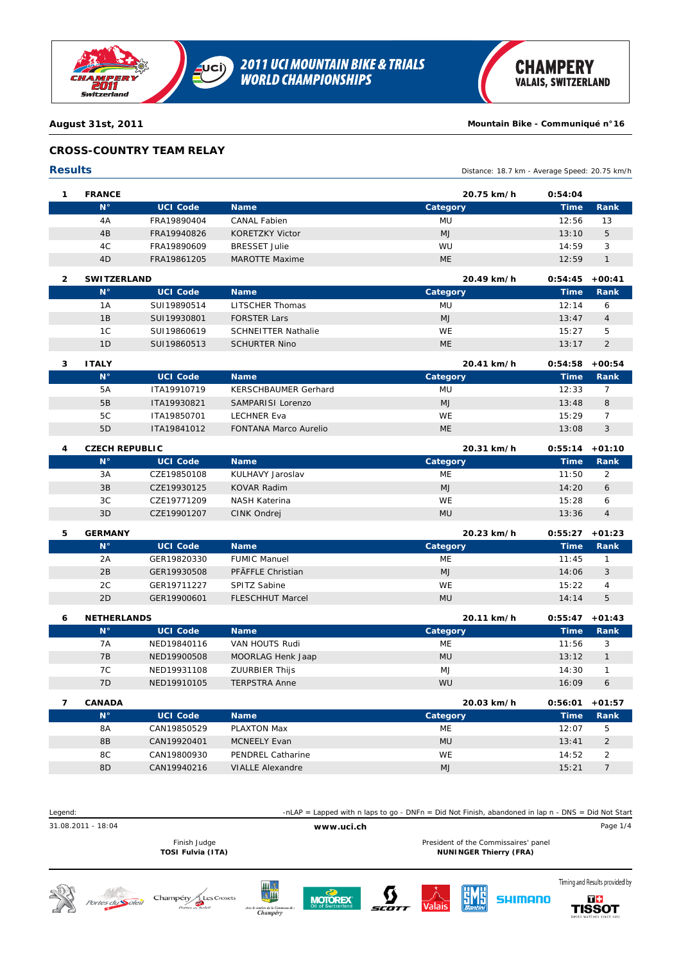

## **CROSS-COUNTRY TEAM RELAY**

### **Results** Distance: 18.7 km - Average Speed: 20.75 km/h **1 FRANCE 20.75 km/h 0:54:04 N° UCI Code Name Category Time Rank** 4A FRA19890404 MU CANAL Fabien 12:56 *13* 4B FRA19940826 MJ KORETZKY Victor 13:10 *5* 4C FRA19890609 WU BRESSET Julie 14:59 *3* 4D FRA19861205 ME MAROTTE Maxime 12:59 *1*

| <b>SWITZERLAND</b> |                 | 20.49 km/h                 | 0:54:45   | $+00:41$    |               |
|--------------------|-----------------|----------------------------|-----------|-------------|---------------|
| $N^{\circ}$        | <b>UCI Code</b> | <b>Name</b>                | Category  | <b>Time</b> | Rank          |
| 1A                 | SUI19890514     | LITSCHER Thomas            | MU        | 12.14       | 6             |
| 1B                 | SUI19930801     | <b>FORSTER Lars</b>        | <b>MJ</b> | 13:47       | 4             |
| 1C                 | SUI19860619     | <b>SCHNEITTER Nathalie</b> | <b>WE</b> | 15:27       | 5             |
| 1 <sub>D</sub>     | SUI19860513     | <b>SCHURTER Nino</b>       | <b>ME</b> | 13:17       | $\mathcal{P}$ |
|                    |                 |                            |           |             |               |

| <b>ITALY</b>   |                 |                              | 20.41 km/h | 0:54:58 | +00:54       |
|----------------|-----------------|------------------------------|------------|---------|--------------|
| $N^{\circ}$    | <b>UCI Code</b> | <b>Name</b>                  | Category   | Time    | <b>Rank</b>  |
| 5A             | ITA19910719     | KERSCHBAUMER Gerhard         | <b>MU</b>  | 12:33   |              |
| 5B             | ITA19930821     | SAMPARISI Lorenzo            | <b>MJ</b>  | 13:48   | 8            |
| 5C             | ITA19850701     | LECHNER Eva                  | WE         | 15:29   |              |
| 5 <sub>D</sub> | ITA19841012     | <b>FONTANA Marco Aurelio</b> | <b>ME</b>  | 13:08   | $\mathbf{c}$ |

| 4 | <b>CZECH REPUBLIC</b> |                 | 20.31 km/h       | $0:55:14$ +01:10 |       |             |
|---|-----------------------|-----------------|------------------|------------------|-------|-------------|
|   | $N^{\circ}$           | <b>UCI Code</b> | <b>Name</b>      | Category         | Time  | <b>Rank</b> |
|   | 3A                    | CZE19850108     | KULHAVY Jaroslav | ME               | 11:50 | 2           |
|   | 3B                    | CZE19930125     | KOVAR Radim      | <b>MJ</b>        | 14:20 | 6           |
|   | 3C                    | CZE19771209     | NASH Katerina    | <b>WE</b>        | 15:28 | 6           |
|   | 3D                    | CZE19901207     | CINK Ondrej      | <b>ML</b>        | 13:36 | 4           |

#### **5 GERMANY 20.23 km/h 0:55:27 +01:23 N° UCI Code Name Category Time Rank** 2A GER19820330 ME FUMIC Manuel 11:45 *1* 2B GER19930508 MJ PFÄFFLE Christian 14:06 *3* 2C GER19711227 WE SPITZ Sabine 15:22 *4* 2D GER19900601 MU FLESCHHUT Marcel 14:14 *5*

| 6 | <b>NETHERLANDS</b> |                 |                       | 20.11 km/h   | 0:55:47        | $+01:43$ |
|---|--------------------|-----------------|-----------------------|--------------|----------------|----------|
|   | $N^{\circ}$        | <b>UCI Code</b> | <b>Name</b>           | Category     | <b>Time</b>    | Rank     |
|   | 7A                 | NED19840116     | VAN HOUTS Rudi        | ME           | 11:56          | 3        |
|   | 7B                 | NED19900508     | MOORLAG Henk Jaap     | <b>MU</b>    | 13:12          |          |
|   | 7C                 | NED19931108     | <b>ZUURBIER Thijs</b> | MJ           | 14:30          |          |
|   | 7D                 | NED19910105     | <b>TERPSTRA Anne</b>  | WU           | 16:09          | 6        |
|   | <b>CANADA</b>      |                 |                       | $20.03$ km/h | <u>በ 56 በ1</u> | $+01.57$ |

| <b>CANADA</b> |                 |                          | 20.03 km/h     | 0:56:01 | $+01:57$       |
|---------------|-----------------|--------------------------|----------------|---------|----------------|
| $N^{\circ}$   | <b>UCI Code</b> | <b>Name</b>              | Category       | Time    | Rank           |
| 8A            | CAN19850529     | PLAXTON Max              | ME             | 12:07   | 5              |
| 8B            | CAN19920401     | <b>MCNEELY Evan</b>      | <b>MU</b>      | 13:41   | $\overline{2}$ |
| 8C            | CAN19800930     | <b>PENDREL Catharine</b> | <b>WE</b>      | 14:52   |                |
| 8D            | CAN19940216     | <b>VIALLE Alexandre</b>  | M <sub>1</sub> | 15:21   |                |

| Legend:            |                                                    |                                                               | -nLAP = Lapped with n laps to go - DNFn = Did Not Finish, abandoned in lap n - DNS = Did Not Start |  |        |                            |                                                                       |                                                       |
|--------------------|----------------------------------------------------|---------------------------------------------------------------|----------------------------------------------------------------------------------------------------|--|--------|----------------------------|-----------------------------------------------------------------------|-------------------------------------------------------|
| 31.08.2011 - 18:04 |                                                    |                                                               | www.uci.ch                                                                                         |  |        |                            |                                                                       | Page 1/4                                              |
|                    | Finish Judge<br>TOSI Fulvia (ITA)                  |                                                               |                                                                                                    |  |        |                            | President of the Commissaires' panel<br><b>NUNINGER Thierry (FRA)</b> |                                                       |
| Portes du Soleil   | Champéry<br><b>Les Crosets</b><br>Portes du Soleil | 川金<br>金川<br>Avec le soutien de la Commune de :<br>$Chamn\'en$ | <b>MOTOREX</b>                                                                                     |  | Valais | $\frac{1}{\text{Santini}}$ | SHIMANO                                                               | Timing and Results provided by<br>T+<br><b>TISSO1</b> |









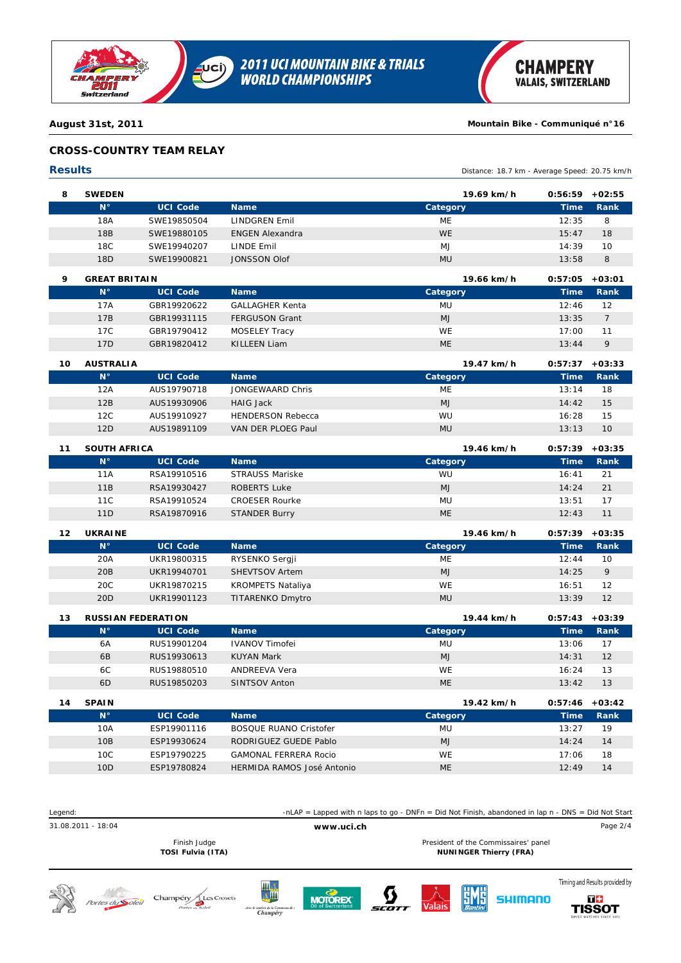

# **CROSS-COUNTRY TEAM RELAY**

#### **Results** Distance: 18.7 km - Average Speed: 20.75 km/h **8 SWEDEN 19.69 km/h 0:56:59 +02:55 N° UCI Code Name Category Time Rank** 18A SWE19850504 ME LINDGREN Emil 12:35 *8* 18B SWE19880105 WE ENGEN Alexandra 15:47 *18* 18C SWE19940207 MJ LINDE Emil 14:39 *10* 18D SWE19900821 MU JONSSON Olof 13:58 *8*

| ۰ | <b>GREAT BRITAIN</b> |                 |                        | 19.66 km/h | 0:57:05     | $+03:01$      |
|---|----------------------|-----------------|------------------------|------------|-------------|---------------|
|   | $N^{\circ}$          | <b>UCI Code</b> | <b>Name</b>            | Category   | <b>Time</b> | Rank          |
|   | 17A                  | GBR19920622     | <b>GALLAGHER Kenta</b> | MU         | 12:46       | 12            |
|   | 17B                  | GBR19931115     | <b>FERGUSON Grant</b>  | <b>MJ</b>  | 13:35       |               |
|   | 17C                  | GBR19790412     | MOSELEY Tracy          | <b>WE</b>  | 17:00       | 11            |
|   | 17D                  | GBR19820412     | KILLEEN Liam           | <b>ME</b>  | 13:44       | $\mathcal{Q}$ |

| 10 | <b>AUSTRALIA</b> |                 |                          | 19.47 km/h | 0:57:37 | $+03:33$    |
|----|------------------|-----------------|--------------------------|------------|---------|-------------|
|    | $N^{\circ}$      | <b>UCI Code</b> | <b>Name</b>              | Category   | Time'   | <b>Rank</b> |
|    | 12A              | AUS19790718     | JONGEWAARD Chris         | ME         | 13:14   | 18          |
|    | 12B              | AUS19930906     | <b>HAIG Jack</b>         | <b>MJ</b>  | 14:42   | 15          |
|    | 12C              | AUS19910927     | <b>HENDERSON Rebecca</b> | <b>WU</b>  | 16:28   | 15          |
|    | 12D              | AUS19891109     | VAN DER PLOEG Paul       | <b>MU</b>  | 13:13   | 10          |

| 11 | <b>SOUTH AFRICA</b> |                 |                       | 19.46 km/h | $0:57:39 + 03:35$ |      |
|----|---------------------|-----------------|-----------------------|------------|-------------------|------|
|    | $N^{\circ}$         | <b>UCI Code</b> | <b>Name</b>           | Category   | Time              | Rank |
|    | 11A                 | RSA19910516     | STRAUSS Mariske       | WU         | 16:41             | 21   |
|    | 11B                 | RSA19930427     | ROBERTS Luke          | <b>MJ</b>  | 14:24             | 21   |
|    | 11C                 | RSA19910524     | <b>CROESER Rourke</b> | MU         | 13:51             | 17   |
|    | 11D                 | RSA19870916     | <b>STANDER Burry</b>  | <b>ME</b>  | 12:43             | 11   |

| UKRAIN |  |
|--------|--|

| 12 | <b>UKRAINE</b>  |                 |                          | 19.46 km/h | $0:57:39 + 03:35$ |             |
|----|-----------------|-----------------|--------------------------|------------|-------------------|-------------|
|    | $N^{\circ}$     | <b>UCI Code</b> | <b>Name</b>              | Category   | Time              | <b>Rank</b> |
|    | 20A             | UKR19800315     | RYSENKO Sergji           | ME         | 12:44             | 10          |
|    | 20B             | UKR19940701     | <b>SHEVTSOV Artem</b>    | <b>MJ</b>  | 14:25             | 9           |
|    | 20C             | UKR19870215     | <b>KROMPETS Nataliya</b> | <b>WE</b>  | 16:51             | 12          |
|    | 20 <sub>D</sub> | UKR19901123     | TITARENKO Dmytro         | <b>MU</b>  | 13:39             | 12          |

| 13 |                | <b>RUSSIAN FEDERATION</b> | 19.44 km/h            | 0:57:43   | $+03:39$    |      |
|----|----------------|---------------------------|-----------------------|-----------|-------------|------|
|    | $N^{\circ}$    | <b>UCI Code</b>           | <b>Name</b>           | Category  | <b>Time</b> | Rank |
|    | 6A             | RUS19901204               | <b>IVANOV Timofei</b> | MU        | 13:06       | 17   |
|    | 6 <sub>B</sub> | RUS19930613               | <b>KUYAN Mark</b>     | <b>MJ</b> | 14:31       | 12   |
|    | 6C             | RUS19880510               | ANDREEVA Vera         | WE        | 16:24       | 13   |
|    | 6 <sub>D</sub> | RUS19850203               | SINTSOV Anton         | ME        | 13:42       | 13   |
|    |                |                           |                       |           |             |      |

| 14 | <b>SPAIN</b> |                 |                               | 19.42 km/h | $0:57:46$ +03:42 |             |
|----|--------------|-----------------|-------------------------------|------------|------------------|-------------|
|    | $N^{\circ}$  | <b>UCI Code</b> | <b>Name</b>                   | Category   | <b>Time</b>      | <b>Rank</b> |
|    | 10A          | ESP19901116     | <b>BOSQUE RUANO Cristofer</b> | MU         | 13:27            | 19          |
|    | 10B          | ESP19930624     | RODRIGUEZ GUEDE Pablo         | <b>MJ</b>  | 14:24            | 14          |
|    | 10C          | ESP19790225     | <b>GAMONAL FERRERA Rocio</b>  | WE         | 17:06            | 18          |
|    | 10D          | ESP19780824     | HERMIDA RAMOS José Antonio    | ME         | 12.49            | 14          |

| Legend:            |                                   | -nLAP = Lapped with n laps to go - DNFn = Did Not Finish, abandoned in lap $n - DNS = Did$ Not Start |  |                                                                       |                                      |  |
|--------------------|-----------------------------------|------------------------------------------------------------------------------------------------------|--|-----------------------------------------------------------------------|--------------------------------------|--|
| 31.08.2011 - 18:04 |                                   | www.uci.ch                                                                                           |  |                                                                       |                                      |  |
|                    | Finish Judge<br>TOSI Fulvia (ITA) |                                                                                                      |  | President of the Commissaires' panel<br><b>NUNINGER Thierry (FRA)</b> |                                      |  |
|                    | $Chomm(m)$ $AlocCocotc$           | --------                                                                                             |  | <b>CONTRACT AND RESIDENTS AND RESIDENTS</b>                           | Timing and Results provided by<br>-- |  |









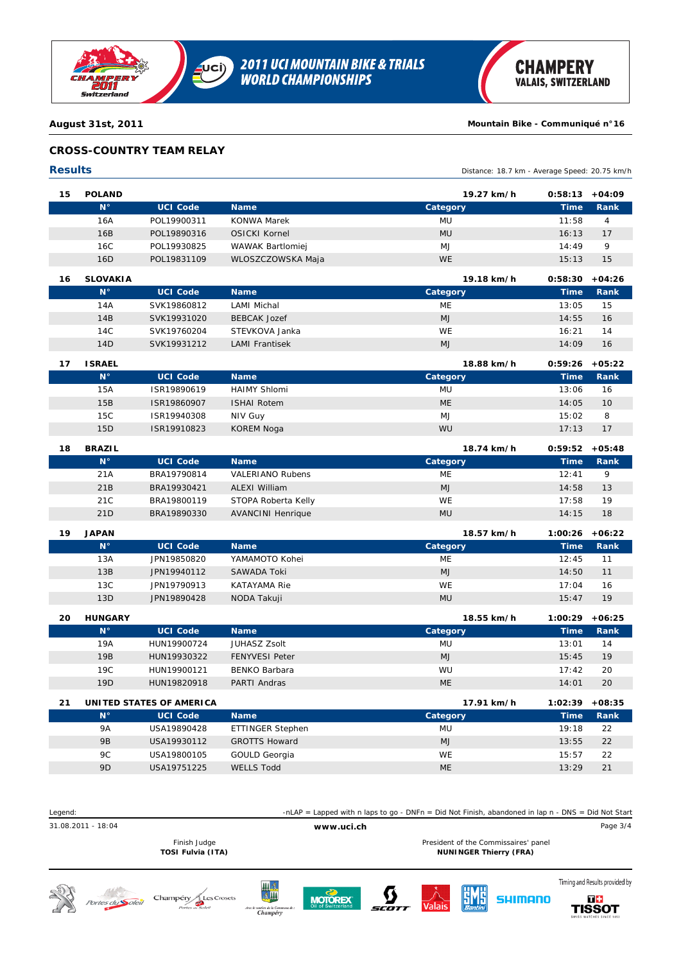

## **CROSS-COUNTRY TEAM RELAY**

| <b>Results</b> |                 |                 |                          | Distance: 18.7 km - Average Speed: 20.75 km/h |             |                |
|----------------|-----------------|-----------------|--------------------------|-----------------------------------------------|-------------|----------------|
| 15             | <b>POLAND</b>   |                 |                          | 19.27 km/h                                    | 0:58:13     | $+04:09$       |
|                | $N^{\circ}$     | <b>UCI Code</b> | <b>Name</b>              | Category                                      | <b>Time</b> | Rank           |
|                | 16A             | POL19900311     | <b>KONWA Marek</b>       | <b>MU</b>                                     | 11:58       | $\overline{4}$ |
|                | 16B             | POL19890316     | <b>OSICKI Kornel</b>     | <b>MU</b>                                     | 16:13       | 17             |
|                | 16C             | POL19930825     | <b>WAWAK Bartlomiej</b>  | M <sub>J</sub>                                | 14:49       | 9              |
|                | 16 <sub>D</sub> | POL19831109     | WLOSZCZOWSKA Maja        | <b>WE</b>                                     | 15:13       | 15             |
| 16             | <b>SLOVAKIA</b> |                 |                          | 19.18 km/h                                    | 0:58:30     | $+04:26$       |
|                | $N^{\circ}$     | <b>UCI Code</b> | <b>Name</b>              | Category                                      | <b>Time</b> | Rank           |
|                | 14A             | SVK19860812     | <b>LAMI Michal</b>       | <b>ME</b>                                     | 13:05       | 15             |
|                | 14B             | SVK19931020     | <b>BEBCAK Jozef</b>      | <b>MJ</b>                                     | 14:55       | 16             |
|                | 14C             | SVK19760204     | STEVKOVA Janka           | <b>WE</b>                                     | 16:21       | 14             |
|                | 14D             | SVK19931212     | <b>LAMI Frantisek</b>    | MJ                                            | 14:09       | 16             |
| 17             | <b>ISRAEL</b>   |                 |                          | 18.88 km/h                                    | 0:59:26     | $+05:22$       |
|                | $N^{\circ}$     | <b>UCI Code</b> | <b>Name</b>              | Category                                      | <b>Time</b> | Rank           |
|                | 15A             | ISR19890619     | <b>HAIMY Shlomi</b>      | <b>MU</b>                                     | 13:06       | 16             |
|                | 15B             | ISR19860907     | <b>ISHAI Rotem</b>       | <b>ME</b>                                     | 14:05       | 10             |
|                | 15C             | ISR19940308     | NIV Guy                  | M <sub>J</sub>                                | 15:02       | 8              |
|                | 15D             | ISR19910823     | <b>KOREM Noga</b>        | WU                                            | 17:13       | 17             |
| 18             | <b>BRAZIL</b>   |                 |                          | 18.74 km/h                                    | 0:59:52     | $+05:48$       |
|                | $N^{\circ}$     | <b>UCI Code</b> | <b>Name</b>              | Category                                      | <b>Time</b> | Rank           |
|                | 21A             | BRA19790814     | <b>VALERIANO Rubens</b>  | <b>ME</b>                                     | 12:41       | 9              |
|                | 21B             | BRA19930421     | <b>ALEXI William</b>     | <b>MJ</b>                                     | 14:58       | 13             |
|                | 21C             | BRA19800119     | STOPA Roberta Kelly      | <b>WE</b>                                     | 17:58       | 19             |
|                | 21D             | BRA19890330     | <b>AVANCINI Henrique</b> | <b>MU</b>                                     | 14:15       | 18             |

| 19 | <b>JAPAN</b> |                 |                | 18.57 km/h | 1:00:26     | +06:22 |
|----|--------------|-----------------|----------------|------------|-------------|--------|
|    | $N^{\circ}$  | <b>UCI Code</b> | <b>Name</b>    | Category   | <b>Time</b> | Rank   |
|    | 13A          | JPN19850820     | YAMAMOTO Kohei | ME         | 12:45       | 11     |
|    | 13B          | JPN19940112     | SAWADA Toki    | <b>MJ</b>  | 14:50       | 11     |
|    | 13C          | JPN19790913     | KATAYAMA Rie   | <b>WE</b>  | 17:04       | 16     |
|    | 13D          | JPN19890428     | NODA Takuji    | <b>MU</b>  | 15:47       | 19     |

| 20 | <b>HUNGARY</b> |                 |                       | 18.55 km/h | $1:00:29 + 06:25$ |      |
|----|----------------|-----------------|-----------------------|------------|-------------------|------|
|    | $N^{\circ}$    | <b>UCI Code</b> | <b>Name</b>           | Category   | <b>Time</b>       | Rank |
|    | 19A            | HUN19900724     | <b>JUHASZ Zsolt</b>   | MU         | 13:01             | 14   |
|    | 19B            | HUN19930322     | <b>FENYVESI Peter</b> | <b>MJ</b>  | 15:45             | 19   |
|    | 19C            | HUN19900121     | BENKO Barbara         | WU         | 17:42             | 20   |
|    | 19D            | HUN19820918     | PARTI Andras          | <b>ME</b>  | 14:01             | 20   |
|    |                |                 |                       |            |                   |      |

| 21 |                | UNITED STATES OF AMERICA |                      | 17.91 km/h | $1:02:39 +08:35$ |      |
|----|----------------|--------------------------|----------------------|------------|------------------|------|
|    | $N^{\circ}$    | <b>UCI Code</b>          | <b>Name</b>          | Category   | <b>Time</b>      | Rank |
|    | 9A             | USA19890428              | ETTINGER Stephen     | <b>MU</b>  | 19:18            | 22   |
|    | 9B             | USA19930112              | <b>GROTTS Howard</b> | <b>MJ</b>  | 13:55            | 22   |
|    | 9C             | USA19800105              | GOULD Georgia        | <b>WE</b>  | 15:57            | 22   |
|    | 9 <sub>D</sub> | USA19751225              | WELLS Todd           | ME         | 13:29            | 21   |

| Legend:                 |                                      |         | -nLAP = Lapped with n laps to go - DNFn = Did Not Finish, abandoned in lap n - DNS = Did Not Start |                   |                                                                       |                                      |
|-------------------------|--------------------------------------|---------|----------------------------------------------------------------------------------------------------|-------------------|-----------------------------------------------------------------------|--------------------------------------|
| 31.08.2011 - 18:04      |                                      |         | www.uci.ch                                                                                         |                   |                                                                       | Page 3/4                             |
|                         | Finish Judge<br>TOSI Fulvia (ITA)    |         |                                                                                                    |                   | President of the Commissaires' panel<br><b>NUNINGER Thierry (FRA)</b> |                                      |
| Portes du <b>Soleil</b> | Champéry <sub>/</sub><br>Les Crosets | Щ<br>AM |                                                                                                    | $V = \frac{1}{2}$ | IMANO                                                                 | Timing and Results provided by<br>T+ |







 $A$ vec  $h$ 





**TISSOT**